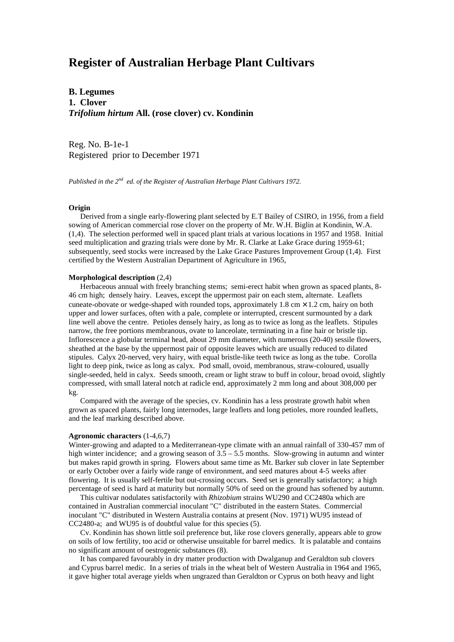# **Register of Australian Herbage Plant Cultivars**

**B. Legumes 1. Clover** *Trifolium hirtum* **All. (rose clover) cv. Kondinin**

Reg. No. B-1e-1 Registered prior to December 1971

*Published in the 2nd ed. of the Register of Australian Herbage Plant Cultivars 1972.*

### **Origin**

 Derived from a single early-flowering plant selected by E.T Bailey of CSIRO, in 1956, from a field sowing of American commercial rose clover on the property of Mr. W.H. Biglin at Kondinin, W.A. (1,4). The selection performed well in spaced plant trials at various locations in 1957 and 1958. Initial seed multiplication and grazing trials were done by Mr. R. Clarke at Lake Grace during 1959-61; subsequently, seed stocks were increased by the Lake Grace Pastures Improvement Group (1,4). First certified by the Western Australian Department of Agriculture in 1965,

#### **Morphological description** (2,4)

 Herbaceous annual with freely branching stems; semi-erect habit when grown as spaced plants, 8- 46 cm high; densely hairy. Leaves, except the uppermost pair on each stem, alternate. Leaflets cuneate-obovate or wedge-shaped with rounded tops, approximately 1.8 cm  $\times$  1.2 cm, hairy on both upper and lower surfaces, often with a pale, complete or interrupted, crescent surmounted by a dark line well above the centre. Petioles densely hairy, as long as to twice as long as the leaflets. Stipules narrow, the free portions membranous, ovate to lanceolate, terminating in a fine hair or bristle tip. Inflorescence a globular terminal head, about 29 mm diameter, with numerous (20-40) sessile flowers, sheathed at the base by the uppermost pair of opposite leaves which are usually reduced to dilated stipules. Calyx 20-nerved, very hairy, with equal bristle-like teeth twice as long as the tube. Corolla light to deep pink, twice as long as calyx. Pod small, ovoid, membranous, straw-coloured, usually single-seeded, held in calyx. Seeds smooth, cream or light straw to buff in colour, broad ovoid, slightly compressed, with small lateral notch at radicle end, approximately 2 mm long and about 308,000 per kg.

 Compared with the average of the species, cv. Kondinin has a less prostrate growth habit when grown as spaced plants, fairly long internodes, large leaflets and long petioles, more rounded leaflets, and the leaf marking described above.

## **Agronomic characters** (1-4,6,7)

Winter-growing and adapted to a Mediterranean-type climate with an annual rainfall of 330-457 mm of high winter incidence; and a growing season of  $3.5 - 5.5$  months. Slow-growing in autumn and winter but makes rapid growth in spring. Flowers about same time as Mt. Barker sub clover in late September or early October over a fairly wide range of environment, and seed matures about 4-5 weeks after flowering. It is usually self-fertile but out-crossing occurs. Seed set is generally satisfactory; a high percentage of seed is hard at maturity but normally 50% of seed on the ground has softened by autumn.

 This cultivar nodulates satisfactorily with *Rhizobium* strains WU290 and CC2480a which are contained in Australian commercial inoculant "C" distributed in the eastern States. Commercial inoculant "C" distributed in Western Australia contains at present (Nov. 1971) WU95 instead of CC2480-a; and WU95 is of doubtful value for this species (5).

 Cv. Kondinin has shown little soil preference but, like rose clovers generally, appears able to grow on soils of low fertility, too acid or otherwise unsuitable for barrel medics. It is palatable and contains no significant amount of oestrogenic substances (8).

 It has compared favourably in dry matter production with Dwalganup and Geraldton sub clovers and Cyprus barrel medic. In a series of trials in the wheat belt of Western Australia in 1964 and 1965, it gave higher total average yields when ungrazed than Geraldton or Cyprus on both heavy and light